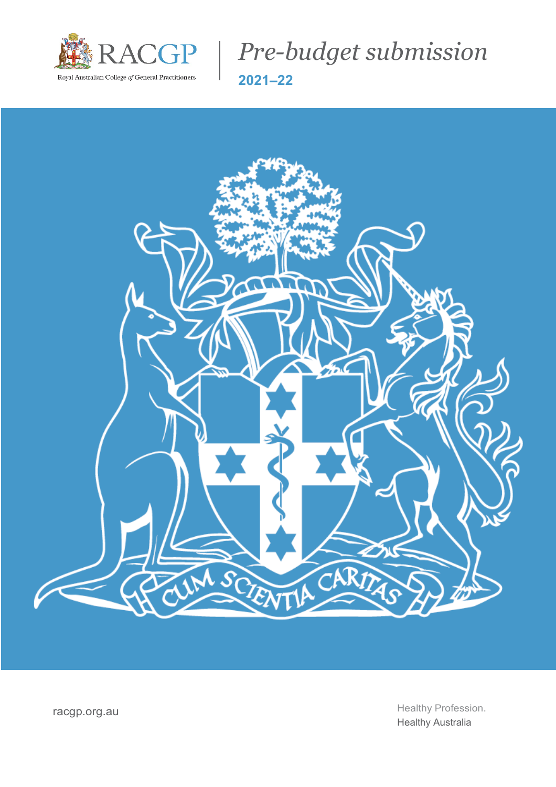

*Pre-budget submission* **2021–22**



racgp.org.au et al. au et al. au et al. au et al. au et al. et al. et al. et al. et al. et al. et al. et al. et a Healthy Australia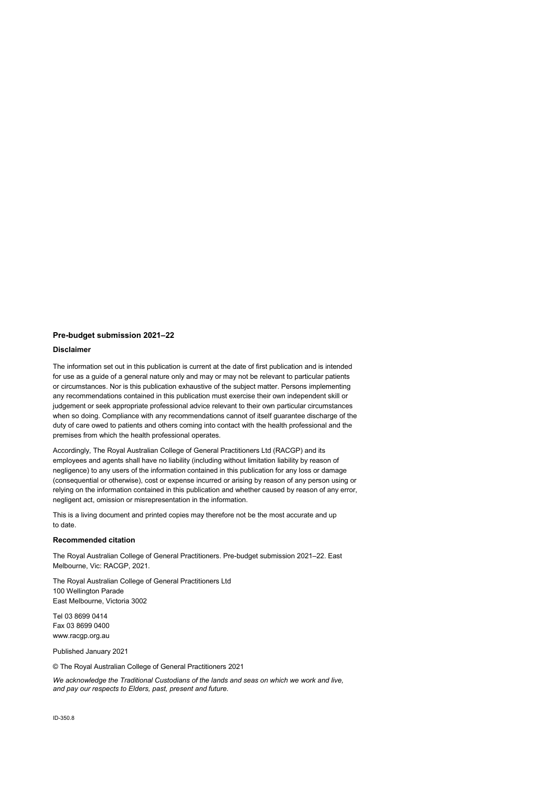#### **Pre-budget submission 2021–22**

#### **Disclaimer**

The information set out in this publication is current at the date of first publication and is intended for use as a guide of a general nature only and may or may not be relevant to particular patients or circumstances. Nor is this publication exhaustive of the subject matter. Persons implementing any recommendations contained in this publication must exercise their own independent skill or judgement or seek appropriate professional advice relevant to their own particular circumstances when so doing. Compliance with any recommendations cannot of itself guarantee discharge of the duty of care owed to patients and others coming into contact with the health professional and the premises from which the health professional operates.

Accordingly, The Royal Australian College of General Practitioners Ltd (RACGP) and its employees and agents shall have no liability (including without limitation liability by reason of negligence) to any users of the information contained in this publication for any loss or damage (consequential or otherwise), cost or expense incurred or arising by reason of any person using or relying on the information contained in this publication and whether caused by reason of any error, negligent act, omission or misrepresentation in the information.

This is a living document and printed copies may therefore not be the most accurate and up to date.

#### **Recommended citation**

The Royal Australian College of General Practitioners. Pre-budget submission 2021–22. East Melbourne, Vic: RACGP, 2021.

The Royal Australian College of General Practitioners Ltd 100 Wellington Parade East Melbourne, Victoria 3002

Tel 03 8699 0414 Fax 03 8699 0400 www.racgp.org.au

Published January 2021

© The Royal Australian College of General Practitioners 2021

*We acknowledge the Traditional Custodians of the lands and seas on which we work and live, and pay our respects to Elders, past, present and future.*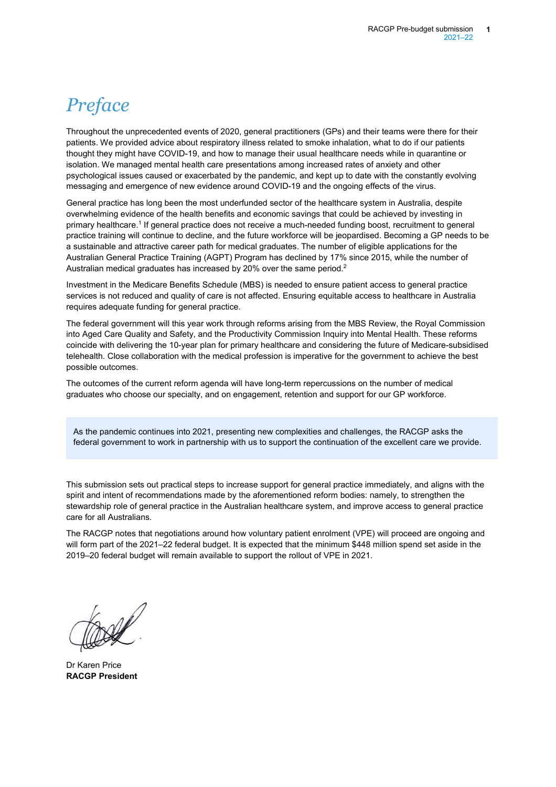# *Preface*

Throughout the unprecedented events of 2020, general practitioners (GPs) and their teams were there for their patients. We provided advice about respiratory illness related to smoke inhalation, what to do if our patients thought they might have COVID-19, and how to manage their usual healthcare needs while in quarantine or isolation. We managed mental health care presentations among increased rates of anxiety and other psychological issues caused or exacerbated by the pandemic, and kept up to date with the constantly evolving messaging and emergence of new evidence around COVID-19 and the ongoing effects of the virus.

General practice has long been the most underfunded sector of the healthcare system in Australia, despite overwhelming evidence of the health benefits and economic savings that could be achieved by investing in primary healthcare.1 If general practice does not receive a much-needed funding boost, recruitment to general practice training will continue to decline, and the future workforce will be jeopardised. Becoming a GP needs to be a sustainable and attractive career path for medical graduates. The number of eligible applications for the Australian General Practice Training (AGPT) Program has declined by 17% since 2015, while the number of Australian medical graduates has increased by 20% over the same period.<sup>2</sup>

Investment in the Medicare Benefits Schedule (MBS) is needed to ensure patient access to general practice services is not reduced and quality of care is not affected. Ensuring equitable access to healthcare in Australia requires adequate funding for general practice.

The federal government will this year work through reforms arising from the MBS Review, the Royal Commission into Aged Care Quality and Safety, and the Productivity Commission Inquiry into Mental Health. These reforms coincide with delivering the 10-year plan for primary healthcare and considering the future of Medicare-subsidised telehealth. Close collaboration with the medical profession is imperative for the government to achieve the best possible outcomes.

The outcomes of the current reform agenda will have long-term repercussions on the number of medical graduates who choose our specialty, and on engagement, retention and support for our GP workforce.

As the pandemic continues into 2021, presenting new complexities and challenges, the RACGP asks the federal government to work in partnership with us to support the continuation of the excellent care we provide.

This submission sets out practical steps to increase support for general practice immediately, and aligns with the spirit and intent of recommendations made by the aforementioned reform bodies: namely, to strengthen the stewardship role of general practice in the Australian healthcare system, and improve access to general practice care for all Australians.

The RACGP notes that negotiations around how voluntary patient enrolment (VPE) will proceed are ongoing and will form part of the 2021–22 federal budget. It is expected that the minimum \$448 million spend set aside in the 2019–20 federal budget will remain available to support the rollout of VPE in 2021.

Dr Karen Price **RACGP President**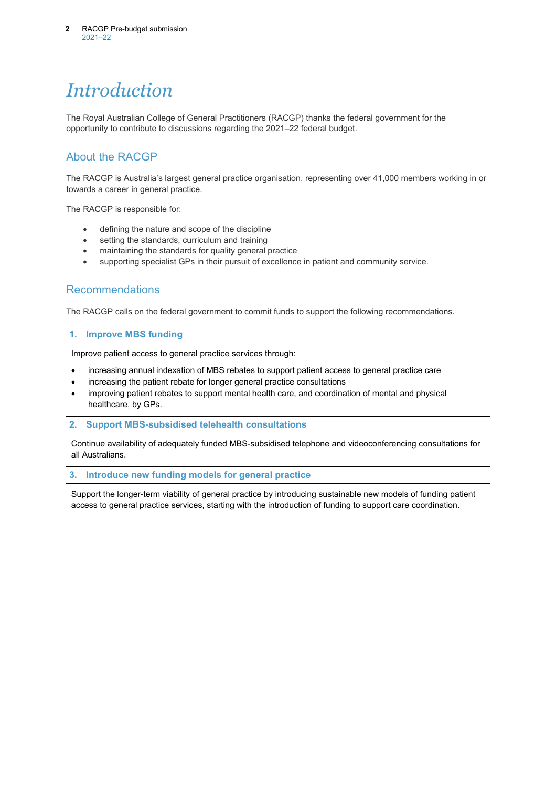# *Introduction*

The Royal Australian College of General Practitioners (RACGP) thanks the federal government for the opportunity to contribute to discussions regarding the 2021–22 federal budget.

## About the RACGP

The RACGP is Australia's largest general practice organisation, representing over 41,000 members working in or towards a career in general practice.

The RACGP is responsible for:

- defining the nature and scope of the discipline
- setting the standards, curriculum and training
- maintaining the standards for quality general practice
- supporting specialist GPs in their pursuit of excellence in patient and community service.

## Recommendations

The RACGP calls on the federal government to commit funds to support the following recommendations.

### **1. Improve MBS funding**

Improve patient access to general practice services through:

- increasing annual indexation of MBS rebates to support patient access to general practice care
- increasing the patient rebate for longer general practice consultations
- improving patient rebates to support mental health care, and coordination of mental and physical healthcare, by GPs.

#### **2. Support MBS-subsidised telehealth consultations**

Continue availability of adequately funded MBS-subsidised telephone and videoconferencing consultations for all Australians.

#### **3. Introduce new funding models for general practice**

Support the longer-term viability of general practice by introducing sustainable new models of funding patient access to general practice services, starting with the introduction of funding to support care coordination.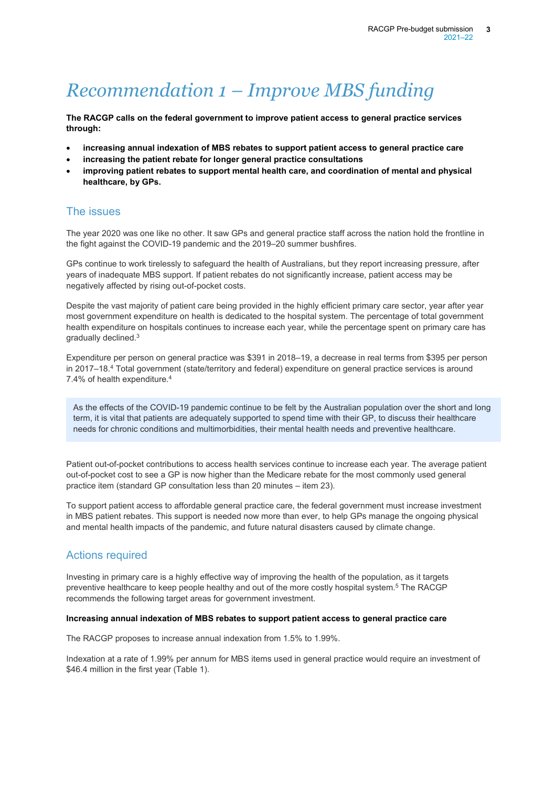# *Recommendation 1 – Improve MBS funding*

**The RACGP calls on the federal government to improve patient access to general practice services through:**

- **increasing annual indexation of MBS rebates to support patient access to general practice care**
- **increasing the patient rebate for longer general practice consultations**
- **improving patient rebates to support mental health care, and coordination of mental and physical healthcare, by GPs.**

## The issues

The year 2020 was one like no other. It saw GPs and general practice staff across the nation hold the frontline in the fight against the COVID-19 pandemic and the 2019–20 summer bushfires.

GPs continue to work tirelessly to safeguard the health of Australians, but they report increasing pressure, after years of inadequate MBS support. If patient rebates do not significantly increase, patient access may be negatively affected by rising out-of-pocket costs.

Despite the vast majority of patient care being provided in the highly efficient primary care sector, year after year most government expenditure on health is dedicated to the hospital system. The percentage of total government health expenditure on hospitals continues to increase each year, while the percentage spent on primary care has gradually declined.3

Expenditure per person on general practice was \$391 in 2018–19, a decrease in real terms from \$395 per person in 2017–18. <sup>4</sup> Total government (state/territory and federal) expenditure on general practice services is around 7.4% of health expenditure.4

As the effects of the COVID-19 pandemic continue to be felt by the Australian population over the short and long term, it is vital that patients are adequately supported to spend time with their GP, to discuss their healthcare needs for chronic conditions and multimorbidities, their mental health needs and preventive healthcare.

Patient out-of-pocket contributions to access health services continue to increase each year. The average patient out-of-pocket cost to see a GP is now higher than the Medicare rebate for the most commonly used general practice item (standard GP consultation less than 20 minutes – item 23).

To support patient access to affordable general practice care, the federal government must increase investment in MBS patient rebates. This support is needed now more than ever, to help GPs manage the ongoing physical and mental health impacts of the pandemic, and future natural disasters caused by climate change.

## Actions required

Investing in primary care is a highly effective way of improving the health of the population, as it targets preventive healthcare to keep people healthy and out of the more costly hospital system.5 The RACGP recommends the following target areas for government investment.

### **Increasing annual indexation of MBS rebates to support patient access to general practice care**

The RACGP proposes to increase annual indexation from 1.5% to 1.99%.

Indexation at a rate of 1.99% per annum for MBS items used in general practice would require an investment of \$46.4 million in the first year (Table 1).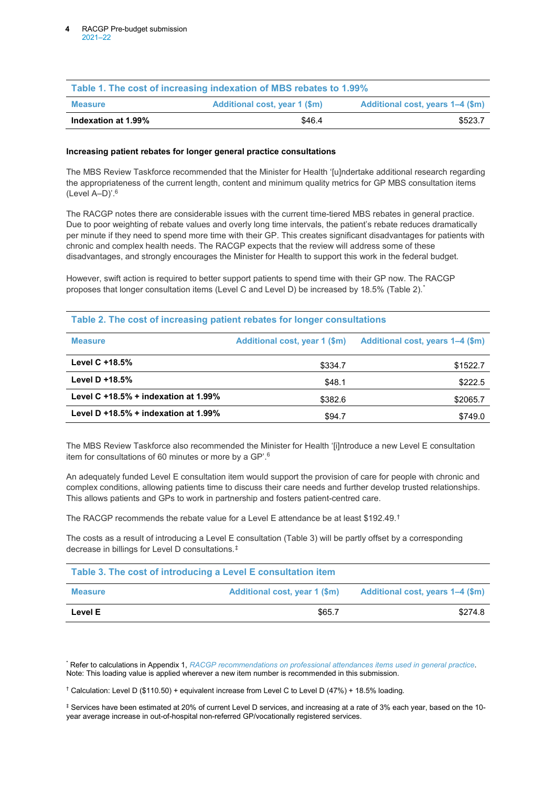| Table 1. The cost of increasing indexation of MBS rebates to 1.99% |                               |                                  |  |
|--------------------------------------------------------------------|-------------------------------|----------------------------------|--|
| <b>Measure</b>                                                     | Additional cost, year 1 (\$m) | Additional cost, years 1–4 (\$m) |  |
| Indexation at 1.99%                                                | \$46.4                        | \$523.7                          |  |

#### **Increasing patient rebates for longer general practice consultations**

The MBS Review Taskforce recommended that the Minister for Health '[u]ndertake additional research regarding the appropriateness of the current length, content and minimum quality metrics for GP MBS consultation items (Level A–D)'. 6

The RACGP notes there are considerable issues with the current time-tiered MBS rebates in general practice. Due to poor weighting of rebate values and overly long time intervals, the patient's rebate reduces dramatically per minute if they need to spend more time with their GP. This creates significant disadvantages for patients with chronic and complex health needs. The RACGP expects that the review will address some of these disadvantages, and strongly encourages the Minister for Health to support this work in the federal budget.

However, swift action is required to better support patients to spend time with their GP now. The RACGP proposes that longer consultation items (Level C and Level D) be increased by 18.5% (Table 2). [\\*](#page-5-0)

#### **Table 2. The cost of increasing patient rebates for longer consultations**

| <b>Measure</b>                       | Additional cost, year 1 (\$m) | Additional cost, years 1–4 (\$m) |
|--------------------------------------|-------------------------------|----------------------------------|
| Level C $+18.5\%$                    | \$334.7                       | \$1522.7                         |
| Level D $+18.5%$                     | \$48.1                        | \$222.5                          |
| Level C +18.5% + indexation at 1.99% | \$382.6                       | \$2065.7                         |
| Level D +18.5% + indexation at 1.99% | \$94.7                        | \$749.0                          |

The MBS Review Taskforce also recommended the Minister for Health '[i]ntroduce a new Level E consultation item for consultations of 60 minutes or more by a GP'. 6

An adequately funded Level E consultation item would support the provision of care for people with chronic and complex conditions, allowing patients time to discuss their care needs and further develop trusted relationships. This allows patients and GPs to work in partnership and fosters patient-centred care.

The RACGP recommends the rebate value for a Level E attendance be at least \$192.49. [†](#page-5-1)

The costs as a result of introducing a Level E consultation (Table 3) will be partly offset by a corresponding decrease in billings for Level D consultations.[‡](#page-5-2)

| Table 3. The cost of introducing a Level E consultation item |                               |                                  |  |  |
|--------------------------------------------------------------|-------------------------------|----------------------------------|--|--|
| <b>Measure</b>                                               | Additional cost, year 1 (\$m) | Additional cost, years 1–4 (\$m) |  |  |
| Level E                                                      | \$65.7                        | \$274.8                          |  |  |

<span id="page-5-0"></span>\* Refer to calculations in Appendix 1, *[RACGP recommendations on professional attendances items used in general practice](http://www.racgp.org.au/download/Documents/Reports/Report-RACGP-recommendations-on-Professional-Attendances-items-used-in-general-practice.PDF)*. Note: This loading value is applied wherever a new item number is recommended in this submission.

<span id="page-5-1"></span>† Calculation: Level D (\$110.50) + equivalent increase from Level C to Level D (47%) + 18.5% loading.

<span id="page-5-2"></span>‡ Services have been estimated at 20% of current Level D services, and increasing at a rate of 3% each year, based on the 10 year average increase in out-of-hospital non-referred GP/vocationally registered services.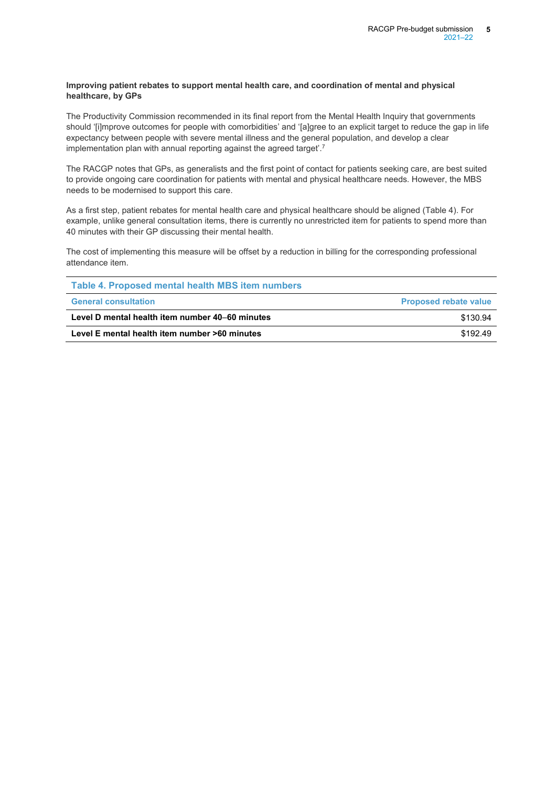#### **Improving patient rebates to support mental health care, and coordination of mental and physical healthcare, by GPs**

The Productivity Commission recommended in its final report from the Mental Health Inquiry that governments should '[i]mprove outcomes for people with comorbidities' and '[a]gree to an explicit target to reduce the gap in life expectancy between people with severe mental illness and the general population, and develop a clear implementation plan with annual reporting against the agreed target'. ${}^{\prime}$ 

The RACGP notes that GPs, as generalists and the first point of contact for patients seeking care, are best suited to provide ongoing care coordination for patients with mental and physical healthcare needs. However, the MBS needs to be modernised to support this care.

As a first step, patient rebates for mental health care and physical healthcare should be aligned (Table 4). For example, unlike general consultation items, there is currently no unrestricted item for patients to spend more than 40 minutes with their GP discussing their mental health.

The cost of implementing this measure will be offset by a reduction in billing for the corresponding professional attendance item.

| Table 4. Proposed mental health MBS item numbers |                              |
|--------------------------------------------------|------------------------------|
| <b>General consultation</b>                      | <b>Proposed rebate value</b> |
| Level D mental health item number 40–60 minutes  | \$130.94                     |
| Level E mental health item number >60 minutes    | \$192.49                     |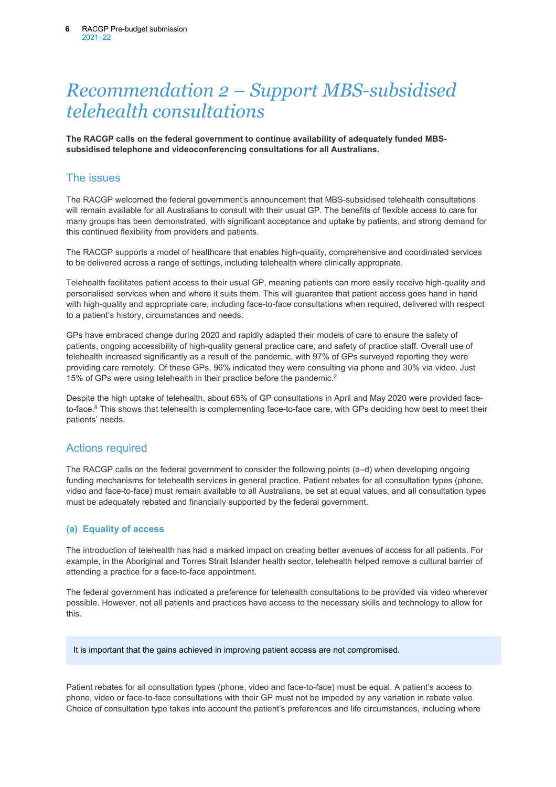## *Recommendation 2 – Support MBS-subsidised telehealth consultations*

**The RACGP calls on the federal government to continue availability of adequately funded MBSsubsidised telephone and videoconferencing consultations for all Australians.**

## The issues

The RACGP welcomed the federal government's announcement that MBS-subsidised telehealth consultations will remain available for all Australians to consult with their usual GP. The benefits of flexible access to care for many groups has been demonstrated, with significant acceptance and uptake by patients, and strong demand for this continued flexibility from providers and patients.

The RACGP supports a model of healthcare that enables high-quality, comprehensive and coordinated services to be delivered across a range of settings, including telehealth where clinically appropriate.

Telehealth facilitates patient access to their usual GP, meaning patients can more easily receive high-quality and personalised services when and where it suits them. This will guarantee that patient access goes hand in hand with high-quality and appropriate care, including face-to-face consultations when required, delivered with respect to a patient's history, circumstances and needs.

GPs have embraced change during 2020 and rapidly adapted their models of care to ensure the safety of patients, ongoing accessibility of high-quality general practice care, and safety of practice staff. Overall use of telehealth increased significantly as a result of the pandemic, with 97% of GPs surveyed reporting they were providing care remotely. Of these GPs, 96% indicated they were consulting via phone and 30% via video. Just 15% of GPs were using telehealth in their practice before the pandemic. 2

Despite the high uptake of telehealth, about 65% of GP consultations in April and May 2020 were provided faceto-face.<sup>8</sup> This shows that telehealth is complementing face-to-face care, with GPs deciding how best to meet their patients' needs.

## Actions required

The RACGP calls on the federal government to consider the following points (a–d) when developing ongoing funding mechanisms for telehealth services in general practice. Patient rebates for all consultation types (phone, video and face-to-face) must remain available to all Australians, be set at equal values, and all consultation types must be adequately rebated and financially supported by the federal government.

### **(a) Equality of access**

The introduction of telehealth has had a marked impact on creating better avenues of access for all patients. For example, in the Aboriginal and Torres Strait Islander health sector, telehealth helped remove a cultural barrier of attending a practice for a face-to-face appointment.

The federal government has indicated a preference for telehealth consultations to be provided via video wherever possible. However, not all patients and practices have access to the necessary skills and technology to allow for this.

It is important that the gains achieved in improving patient access are not compromised.

Patient rebates for all consultation types (phone, video and face-to-face) must be equal. A patient's access to phone, video or face-to-face consultations with their GP must not be impeded by any variation in rebate value. Choice of consultation type takes into account the patient's preferences and life circumstances, including where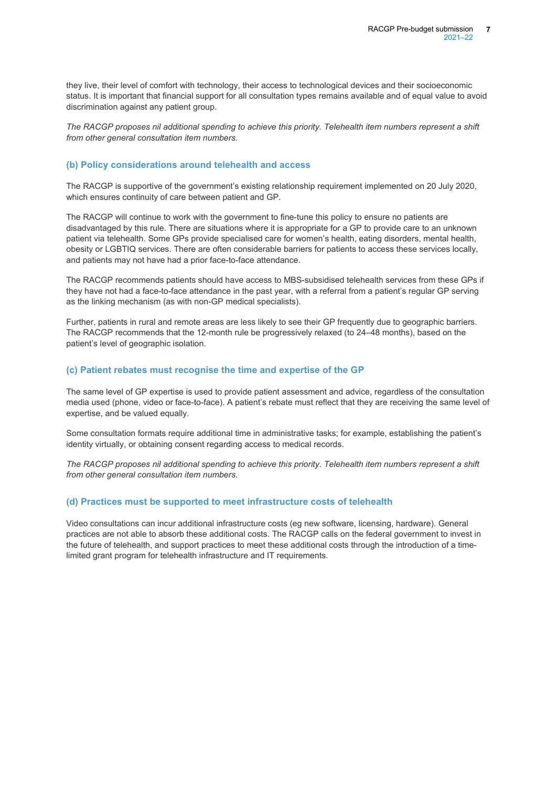they live, their level of comfort with technology, their access to technological devices and their socioeconomic status. It is important that financial support for all consultation types remains available and of equal value to avoid discrimination against any patient group.

*The RACGP proposes nil additional spending to achieve this priority. Telehealth item numbers represent a shift from other general consultation item numbers.*

### **(b) Policy considerations around telehealth and access**

The RACGP is supportive of the government's existing relationship requirement implemented on 20 July 2020, which ensures continuity of care between patient and GP.

The RACGP will continue to work with the government to fine-tune this policy to ensure no patients are disadvantaged by this rule. There are situations where it is appropriate for a GP to provide care to an unknown patient via telehealth. Some GPs provide specialised care for women's health, eating disorders, mental health, obesity or LGBTIQ services. There are often considerable barriers for patients to access these services locally, and patients may not have had a prior face-to-face attendance.

The RACGP recommends patients should have access to MBS-subsidised telehealth services from these GPs if they have not had a face-to-face attendance in the past year, with a referral from a patient's regular GP serving as the linking mechanism (as with non-GP medical specialists).

Further, patients in rural and remote areas are less likely to see their GP frequently due to geographic barriers. The RACGP recommends that the 12-month rule be progressively relaxed (to 24–48 months), based on the patient's level of geographic isolation.

### **(c) Patient rebates must recognise the time and expertise of the GP**

The same level of GP expertise is used to provide patient assessment and advice, regardless of the consultation media used (phone, video or face-to-face). A patient's rebate must reflect that they are receiving the same level of expertise, and be valued equally.

Some consultation formats require additional time in administrative tasks; for example, establishing the patient's identity virtually, or obtaining consent regarding access to medical records.

The RACGP proposes nil additional spending to achieve this priority. Telehealth item numbers represent a shift *from other general consultation item numbers.*

### **(d) Practices must be supported to meet infrastructure costs of telehealth**

Video consultations can incur additional infrastructure costs (eg new software, licensing, hardware). General practices are not able to absorb these additional costs. The RACGP calls on the federal government to invest in the future of telehealth, and support practices to meet these additional costs through the introduction of a timelimited grant program for telehealth infrastructure and IT requirements.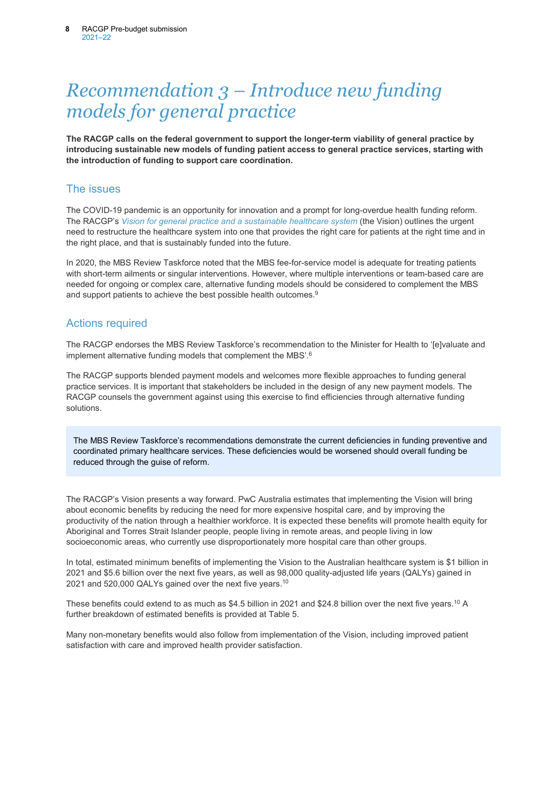## *Recommendation 3 – Introduce new funding models for general practice*

**The RACGP calls on the federal government to support the longer-term viability of general practice by introducing sustainable new models of funding patient access to general practice services, starting with the introduction of funding to support care coordination.** 

### The issues

The COVID-19 pandemic is an opportunity for innovation and a prompt for long-overdue health funding reform. The RACGP's *[Vision for general practice and a sustainable healthcare system](https://www.racgp.org.au/advocacy/advocacy-resources/the-vision-for-general-practice)* (the Vision) outlines the urgent need to restructure the healthcare system into one that provides the right care for patients at the right time and in the right place, and that is sustainably funded into the future.

In 2020, the MBS Review Taskforce noted that the MBS fee-for-service model is adequate for treating patients with short-term ailments or singular interventions. However, where multiple interventions or team-based care are needed for ongoing or complex care, alternative funding models should be considered to complement the MBS and support patients to achieve the best possible health outcomes.<sup>9</sup>

## Actions required

The RACGP endorses the MBS Review Taskforce's recommendation to the Minister for Health to '[e]valuate and implement alternative funding models that complement the MBS'.6

The RACGP supports blended payment models and welcomes more flexible approaches to funding general practice services. It is important that stakeholders be included in the design of any new payment models. The RACGP counsels the government against using this exercise to find efficiencies through alternative funding solutions.

The MBS Review Taskforce's recommendations demonstrate the current deficiencies in funding preventive and coordinated primary healthcare services. These deficiencies would be worsened should overall funding be reduced through the guise of reform.

The RACGP's Vision presents a way forward. PwC Australia estimates that implementing the Vision will bring about economic benefits by reducing the need for more expensive hospital care, and by improving the productivity of the nation through a healthier workforce. It is expected these benefits will promote health equity for Aboriginal and Torres Strait Islander people, people living in remote areas, and people living in low socioeconomic areas, who currently use disproportionately more hospital care than other groups.

In total, estimated minimum benefits of implementing the Vision to the Australian healthcare system is \$1 billion in 2021 and \$5.6 billion over the next five years, as well as 98,000 quality-adjusted life years (QALYs) gained in 2021 and 520,000 QALYs gained over the next five years.<sup>10</sup>

These benefits could extend to as much as \$4.5 billion in 2021 and \$24.8 billion over the next five years.<sup>10</sup> A further breakdown of estimated benefits is provided a[t Table 5.](#page-9-0)

<span id="page-9-0"></span>Many non-monetary benefits would also follow from implementation of the Vision, including improved patient satisfaction with care and improved health provider satisfaction.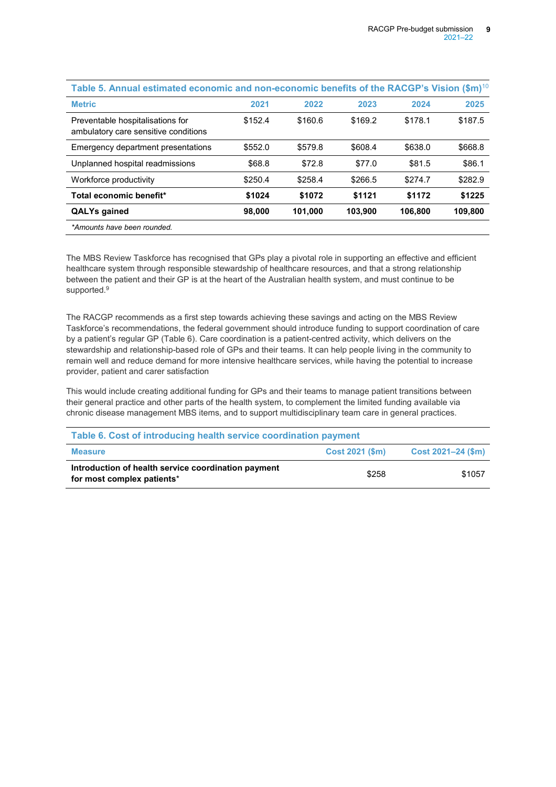| Table 5. Annual estimated economic and non-economic benefits of the RACGP's Vision (\$m) $^{10}$ |         |         |         |         |         |
|--------------------------------------------------------------------------------------------------|---------|---------|---------|---------|---------|
| <b>Metric</b>                                                                                    | 2021    | 2022    | 2023    | 2024    | 2025    |
| Preventable hospitalisations for<br>ambulatory care sensitive conditions                         | \$152.4 | \$160.6 | \$169.2 | \$178.1 | \$187.5 |
| Emergency department presentations                                                               | \$552.0 | \$579.8 | \$608.4 | \$638.0 | \$668.8 |
| Unplanned hospital readmissions                                                                  | \$68.8  | \$72.8  | \$77.0  | \$81.5  | \$86.1  |
| Workforce productivity                                                                           | \$250.4 | \$258.4 | \$266.5 | \$274.7 | \$282.9 |
| Total economic benefit*                                                                          | \$1024  | \$1072  | \$1121  | \$1172  | \$1225  |
| <b>QALYs gained</b>                                                                              | 98,000  | 101.000 | 103.900 | 106.800 | 109,800 |
| *Amounts have been rounded.                                                                      |         |         |         |         |         |

The MBS Review Taskforce has recognised that GPs play a pivotal role in supporting an effective and efficient healthcare system through responsible stewardship of healthcare resources, and that a strong relationship between the patient and their GP is at the heart of the Australian health system, and must continue to be supported.<sup>9</sup>

The RACGP recommends as a first step towards achieving these savings and acting on the MBS Review Taskforce's recommendations, the federal government should introduce funding to support coordination of care by a patient's regular GP (Table 6). Care coordination is a patient-centred activity, which delivers on the stewardship and relationship-based role of GPs and their teams. It can help people living in the community to remain well and reduce demand for more intensive healthcare services, while having the potential to increase provider, patient and carer satisfaction

This would include creating additional funding for GPs and their teams to manage patient transitions between their general practice and other parts of the health system, to complement the limited funding available via chronic disease management MBS items, and to support multidisciplinary team care in general practices.

| Table 6. Cost of introducing health service coordination payment                  |                 |                         |  |
|-----------------------------------------------------------------------------------|-----------------|-------------------------|--|
| <b>Measure</b>                                                                    | Cost 2021 (\$m) | $Cost 2021 - 24 ($ \$m) |  |
| Introduction of health service coordination payment<br>for most complex patients* | \$258           | \$1057                  |  |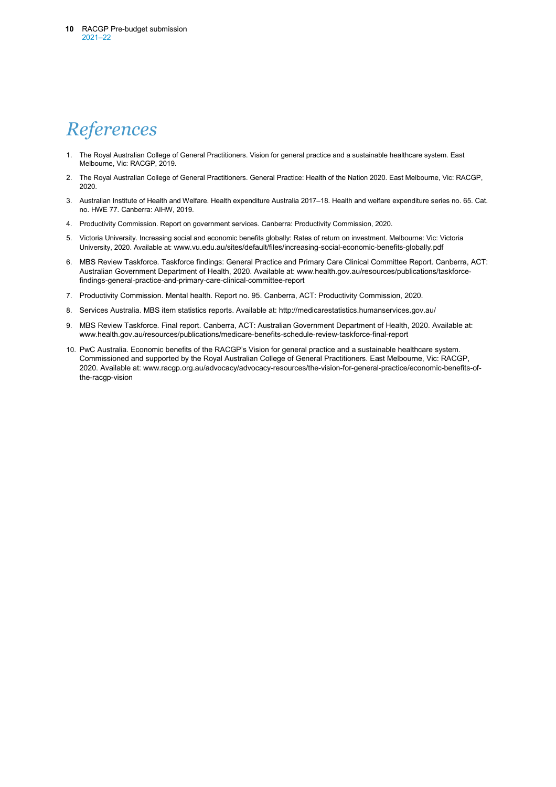# *References*

- 1. The Royal Australian College of General Practitioners. Vision for general practice and a sustainable healthcare system. East Melbourne, Vic: RACGP, 2019.
- 2. The Royal Australian College of General Practitioners. General Practice: Health of the Nation 2020. East Melbourne, Vic: RACGP, 2020.
- 3. Australian Institute of Health and Welfare. Health expenditure Australia 2017–18. Health and welfare expenditure series no. 65. Cat. no. HWE 77. Canberra: AIHW, 2019.
- 4. Productivity Commission. Report on government services. Canberra: Productivity Commission, 2020.
- 5. Victoria University. Increasing social and economic benefits globally: Rates of return on investment. Melbourne: Vic: Victoria University, 2020. Available at: [www.vu.edu.au/sites/default/files/increasing-social-economic-benefits-globally.pdf](http://www.vu.edu.au/sites/default/files/increasing-social-economic-benefits-globally.pdf)
- 6. MBS Review Taskforce. Taskforce findings: General Practice and Primary Care Clinical Committee Report. Canberra, ACT: Australian Government Department of Health, 2020. Available at[: www.health.gov.au/resources/publications/taskforce](http://www.health.gov.au/resources/publications/taskforce-findings-general-practice-and-primary-care-clinical-committee-report)[findings-general-practice-and-primary-care-clinical-committee-report](http://www.health.gov.au/resources/publications/taskforce-findings-general-practice-and-primary-care-clinical-committee-report)
- 7. Productivity Commission. Mental health. Report no. 95. Canberra, ACT: Productivity Commission, 2020.
- 8. Services Australia. [MBS item statistics reports.](http://medicarestatistics.humanservices.gov.au/statistics/mbs_item.jsp) Available at: http://medicarestatistics.humanservices.gov.au/
- 9. MBS Review Taskforce. Final report. Canberra, ACT: Australian Government Department of Health, 2020. Available at: www.health.gov.au/resources/publications/medicare-benefits-schedule-review-taskforce-final-report
- 10. PwC Australia. Economic benefits of the RACGP's Vision for general practice and a sustainable healthcare system. Commissioned and supported by the Royal Australian College of General Practitioners. East Melbourne, Vic: RACGP, 2020. Available at: www.racgp.org.au/advocacy/advocacy-resources/the-vision-for-general-practice/economic-benefits-ofthe-racgp-vision